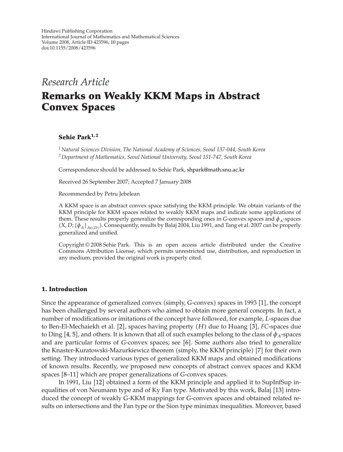## *Research Article*

## **Remarks on Weakly KKM Maps in Abstract Convex Spaces**

#### **Sehie Park1, 2**

*<sup>1</sup> Natural Sciences Division, The National Academy of Sciences, Seoul 137-044, South Korea <sup>2</sup> Department of Mathematics, Seoul National University, Seoul 151-747, South Korea*

Correspondence should be addressed to Sehie Park, [shpark@math.snu.ac.kr](mailto:shpark@math.snu.ac.kr)

Received 26 September 2007; Accepted 7 January 2008

Recommended by Petru Jebelean

A KKM space is an abstract convex space satisfying the KKM principle. We obtain variants of the KKM principle for KKM spaces related to weakly KKM maps and indicate some applications of them. These results properly generalize the corresponding ones in *G*-convex spaces and  $\phi_A$ -spaces  $(X, D; {\phi_A}]_{A\in (D)}$ . Consequently, results by Balaj 2004, Liu 1991, and Tang et al. 2007 can be properly concrelized and unified generalized and unified.

Copyright © 2008 Sehie Park. This is an open access article distributed under the Creative Commons Attribution License, which permits unrestricted use, distribution, and reproduction in any medium, provided the original work is properly cited.

#### **1. Introduction**

Since the appearance of generalized convex (simply, *G*-convex) spaces in [1](#page-9-1)993 [1], the concept<br>has been challenged by soveral authors who aimed to obtain more general concepts. In fact, a has been challenged by several authors who aimed to obtain more general concepts. In fact, a number of modifications or imitations of the concept have followed, for example, *L*-spaces due to Ben-El-Mechaiekh et al. [[2](#page-9-2)], spaces having property (*H*) due to Huang [[3](#page-9-3)], *FC*-spaces due<br>to Ding [4, 5], and others. It is known that all of such examples belong to the class of  $\phi$ , spaces to Ding [[4](#page-9-4), [5](#page-9-5)], and others. It is known that all of such examples belong to the class of  $\phi_A$ -spaces and are particular forms of *G*-convex spaces; see [[6](#page-9-6)]. Some authors also tried to generalize the Knaster-Kuratowski-Mazurkiewicz theorem (simply, the KKM principle) [[7](#page-9-7)] for their own setting. They introduced various types of generalized KKM maps and obtained modifications of known results. Recently, we proposed new concepts of abstract convex spaces and KKM spaces [[8](#page-9-8)[–11](#page-9-9)] which are proper generalizations of *G*-convex spaces.

In 1991, Liu [[12](#page-9-10)] obtained a form of the KKM principle and applied it to SupInfSup in-equalities of von Neumann type and of Ky Fan type. Motivated by this work, Balaj [[13](#page-9-11)] introduced the concept of weakly *G*-KKM mappings for *G*-convex spaces and obtained related results on intersections and the Fan type or the Sion type minimax inequalities. Moreover, based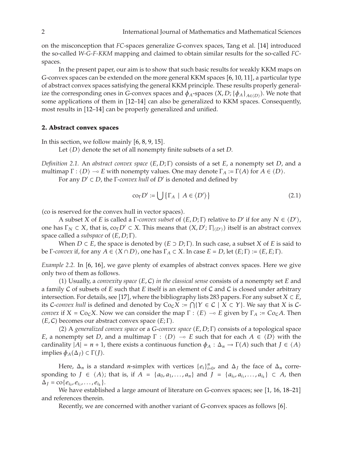on the misconception that *FC*-spaces generalize *G*-convex spaces, Tang et al. [[14](#page-9-12)] introduced the so-called *W-G-F-KKM* mapping and claimed to obtain similar results for the so-called *FC*spaces.

In the present paper, our aim is to show that such basic results for weakly KKM maps on *G*-convex spaces can be extended on the more general KKM spaces [[6,](#page-9-6) [10,](#page-9-13) [11](#page-9-9)], a particular type of abstract convex spaces satisfying the general KKM principle. These results properly generalize the corresponding ones in *G*-convex spaces and  $\phi_A$ -spaces  $(X, D; {\phi_A}_{A \in (D)})$ . We note that some applications of them in [[12](#page-9-10)[–14](#page-9-12)] can also be generalized to KKM spaces. Consequently, most results in [[12](#page-9-10)[–14](#page-9-12)] can be properly generalized and unified.

#### **2. Abstract convex spaces**

In this section, we follow mainly  $[6, 8, 9, 15]$  $[6, 8, 9, 15]$  $[6, 8, 9, 15]$  $[6, 8, 9, 15]$  $[6, 8, 9, 15]$  $[6, 8, 9, 15]$  $[6, 8, 9, 15]$  $[6, 8, 9, 15]$  $[6, 8, 9, 15]$ .

Let  $\langle D \rangle$  denote the set of all nonempty finite subsets of a set *D*.

*Definition 2.1.* An *abstract convex space*  $(E, D; \Gamma)$  consists of a set *E*, a nonempty set *D*, and a multimare  $\Gamma : (D) \rightarrow E$  with popempty values. One may denote  $\Gamma : \Gamma(A)$  for  $A \subseteq (D)$ multimap  $\Gamma : \langle D \rangle \to E$  with nonempty values. One may denote  $\Gamma_A := \Gamma(A)$  for  $A \in \langle D \rangle$ .<br>For any  $D' \subset D$ , the  $\Gamma$  cause kull of  $D'$  is denoted and defined by

For any *D'* ⊂ *D*, the Γ-*convex hull* of *D'* is denoted and defined by

$$
co_{\Gamma} D' := \bigcup \{ \Gamma_A \mid A \in \langle D' \rangle \} \tag{2.1}
$$

(co is reserved for the convex hull in vector spaces).

A subset *X* of *E* is called a  $\Gamma$ -*convex subset* of  $(E, D; \Gamma)$  relative to  $D'$  if for any  $N \in \langle D' \rangle$ ,  $\Gamma$ ,  $\Gamma$ ,  $\Gamma$ ,  $\Gamma$ ,  $\Gamma$ ,  $\Gamma$ ,  $\Gamma$ ,  $\Gamma$ ,  $\Gamma$ ,  $\Gamma$ ,  $\Gamma$ ,  $\Gamma$ ,  $\Gamma$ ,  $\Gamma$ ,  $\Gamma$ ,  $\Gamma$ ,  $\Gamma$ ,  $\Gamma$ ,  $\Gamma$ , one has  $\Gamma_N \subset X$ , that is,  $\text{co}_{\Gamma} D' \subset X$ . This means that  $(X, D'; \Gamma|_{\langle D' \rangle})$  itself is an abstract convex space called a subspace of  $(F, D; \Gamma)$ . space called a *subspace* of (*E*, *D*; Γ).<br>*Whon D C E*, the space is de-

When *D* ⊂ *E*, the space is denoted by  $(E \supset D; \Gamma)$ . In such case, a subset *X* of *E* is said to wave if for any  $A \subseteq (X \cap D)$  and has  $\Gamma \subseteq \Gamma$  in case  $E = D$  lot  $(E \cdot \Gamma) := (E \cdot \Gamma)$ . be  $\Gamma$ *-convex* if, for any  $A \in \langle X \cap D \rangle$ , one has  $\Gamma_A \subset X$ . In case  $E = D$ , let  $(E; \Gamma) := (E, E; \Gamma)$ .

*Example 2.2.* In [[6](#page-9-6), [16](#page-9-16)], we gave plenty of examples of abstract convex spaces. Here we give only two of them as follows.

(1) Usually, a *convexity space*  $(E, C)$  *in the classical sense* consists of a nonempty set *E* and  $\Gamma$  *is*  $C$  of subsets of  $F$  such that  $F$  itself is an element of  $C$  and  $C$  is closed under arbitrary a family <sup>C</sup> of subsets of *E* such that *E* itself is an element of <sup>C</sup> and <sup>C</sup> is closed under arbitrary intersection. For details, see [[17](#page-9-17)], where the bibliography lists 283 papers. For any subset  $X \subset E$ , its C-convex hull is defined and denoted by  $Co_{\mathcal{C}}X := \bigcap \{Y \in \mathcal{C} \mid X \subset Y\}$ . We say that *X* is C*convex* if  $X = \text{Co}_C X$ . Now we can consider the map  $\Gamma : \langle E \rangle \to E$  given by  $\Gamma_A := \text{Co}_C A$ . Then  $(E, C)$  becomes our abstract convoy space  $(E, \Gamma)$  $(E, C)$  becomes our abstract convex space  $(E; \Gamma)$ .<br>(2) A generalized convex space or a  $C$ -convert

(2) A *generalized convex space* or a *G-convex space*  $(E, D; \Gamma)$  consists of a topological space<br>concentry sot D, and a multiman  $\Gamma : (D) \cong E$  such that for each  $A \in (D)$  with the *E*, a nonempty set *D*, and a multimap  $\Gamma$  :  $\langle D \rangle \rightarrow E$  such that for each  $A \in \langle D \rangle$  with the cardinality  $|A| = n + 1$  there exists a continuous function  $A_1 \in A_1$ . cardinality  $|A| = n + 1$ , there exists a continuous function  $\phi_A : \Delta_n \to \Gamma(A)$  such that  $J \in \langle A \rangle$ <br>implies  $\phi_A(A_0) \subset \Gamma(I)$  $implies$  *ϕ<sub>A</sub>*(Δ*J*) ⊂ Γ(*J*).

Here,  $\Delta_n$  is a standard *n*-simplex with vertices  $\{e_i\}_{i=0}^n$ , and  $\Delta_J$  the face of  $\Delta_n$  corre-<br>ing to  $I \subset \{A\}$ ; that is if  $A = \{g_i, g_j \}$ , and  $I = \{g_i, g_j \}$ , and  $\{f_i, f_j \}$  then sponding to *J* ∈  $\langle A \rangle$ ; that is, if *A* = { $a_0, a_1, ..., a_n$ } and *J* = { $a_{i_0}, a_{i_1}, ..., a_{i_k}$ } ⊂ *A*, then  $\Delta_j = \text{co}\{e_{i_0}, e_{i_1}, \ldots, e_{i_k}\}.$ 

We have established a large amount of literature on *G*-convex spaces; see [[1,](#page-9-1) [16](#page-9-16), [18](#page-9-18)[–21](#page-9-19)] and references therein.

Recently, we are concerned with another variant of *G*-convex spaces as follows [[6](#page-9-6)].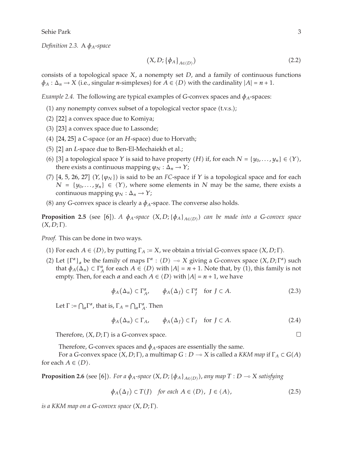Sehie Park 3

*Definition 2.3.* <sup>A</sup> *φA*-*space*

$$
(X, D; \{\phi_A\}_{A \in \langle D \rangle}) \tag{2.2}
$$

consists of a topological space *X*, a nonempty set *D*, and a family of continuous functions  $\phi_A : \Delta_n \to X$  (i.e., singular *n*-simplexes) for  $A \in \langle D \rangle$  with the cardinality  $|A| = n + 1$ .

*Example 2.4.* The following are typical examples of *G*-convex spaces and  $\phi_A$ -spaces:

- (1) any nonempty convex subset of a topological vector space (t.v.s.);
- (2) [[22](#page-9-20)] a convex space due to Komiya;
- (3) [[23](#page-9-21)] a convex space due to Lassonde;
- (4) [[24,](#page-9-22) [25](#page-9-23)] a *C*-space (or an *H*-space) due to Horvath;
- (5) [[2](#page-9-2)] an *L*-space due to Ben-El-Mechaiekh et al.;
- (6) [[3](#page-9-3)] a topological space *Y* is said to have property  $(H)$  if, for each  $N = \{y_0, \ldots, y_n\} \in \langle Y \rangle$ , there exists a continuous manning  $y_0, \ldots, y_n$ . there exists a continuous mapping  $\varphi_N : \Delta_n \to Y$ ;
- (7) [[4,](#page-9-4) [5](#page-9-5), [26](#page-9-24), [27](#page-9-25)]  $(Y, {\varphi_N})$  is said to be an *FC*-space if *Y* is a topological space and for each  $N = {y \cdot x}$   $\in (Y)$ , where some elements in *N* may be the same, there exists a *N* = { $y_0$ ,..., $y_n$ } ∈  $\langle Y \rangle$ , where some elements in *N* may be the same, there exists a continuous mapping  $\varphi_N : \Delta_n \to Y$ ;
- (8) any *G*-convex space is clearly a  $\phi_A$ -space. The converse also holds.

**Proposition 2.5** (see [[6](#page-9-6)]). A  $\phi_A$ -space  $(X, D; {\phi_A}_{A \in (D)})$  can be made into a *G*-convex space  $(X, D; \Gamma)$ -*X, D*; Γ*.*

*Proof.* This can be done in two ways.

- (1) For each *A*  $\in$  *(D)*, by putting  $\Gamma_A := X$ , we obtain a trivial *G*-convex space  $(X, D; \Gamma)$ .
- (2) Let  $\{\Gamma^{\alpha}\}_\alpha$  be the family of maps  $\Gamma^{\alpha}$  :  $\langle D \rangle \to X$  giving a *G*-convex space  $(X, D; \Gamma^{\alpha})$  such that  $\phi_{\alpha}(\Lambda) \subset \Gamma^{\alpha}$  for each  $A \in \langle D \rangle$  with  $|A| = n + 1$ . Note that by (1) this family is not that  $\phi_A(\Delta_n) \subset \Gamma_A^{\alpha}$  for each  $A \in \langle D \rangle$  with  $|A| = n + 1$ . Note that, by (1), this family is not earnly Then for each  $\alpha$  and each  $A \in \langle D \rangle$  with  $|A| = n + 1$  we have empty. Then, for each  $\alpha$  and each  $A \in \langle D \rangle$  with  $|A| = n + 1$ , we have

$$
\phi_A(\Delta_n) \subset \Gamma_A^{\alpha}, \qquad \phi_A(\Delta_J) \subset \Gamma_J^{\alpha} \quad \text{for } J \subset A. \tag{2.3}
$$

Let  $\Gamma := \bigcap_{\alpha} \Gamma^{\alpha}$ , that is,  $\Gamma_A = \bigcap_{\alpha} \Gamma^{\alpha}_A$ . Then

$$
\phi_A(\Delta_n) \subset \Gamma_A, \qquad \phi_A(\Delta_J) \subset \Gamma_J \quad \text{for } J \subset A. \tag{2.4}
$$

Therefore,  $(X, D; \Gamma)$  is a *G*-convex space.

Therefore, *G*-convex spaces and  $\phi_A$ -spaces are essentially the same.

*F* or a *G*-convex space (*X, D*; Γ), a multimap *G* : *D* → *X* is called a *KKM map* if Γ<sub>*A*</sub> ⊂ *G*(*A*) <br>
> A ∈ / D \ for each  $A \in \langle D \rangle$ .

**Proposition 2.[6](#page-9-6)** (see [6]). For a  $\phi_A$ -space  $(X, D; {\phi_A}_{A \in (D)})$ , any map  $T : D \to X$  satisfying

$$
\phi_A(\Delta_J) \subset T(J) \quad \text{for each } A \in \langle D \rangle, \ J \in \langle A \rangle,
$$
 (2.5)

*is a KKM map on a G-convex space* (*X, D; Γ*).

 $\Box$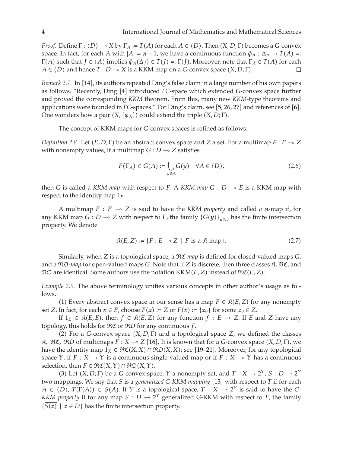*Proof.* Define  $\Gamma$ :  $\langle D \rangle \rightarrow X$  by  $\Gamma_A := T(A)$  for each  $A \in \langle D \rangle$ . Then  $(X, D; \Gamma)$  becomes a *G*-convex and  $\Gamma$ :  $\Lambda \rightarrow T(A)$ . space. In fact, for each *A* with  $|A| = n + 1$ , we have a continuous function  $\phi_A : \Delta_n \to T(A) =$ <br> $\Gamma(A)$  such that  $I \in (A)$  implies  $\phi_A(A_1) \subset T(I) \to T(I)$ . Moreover note that  $\Gamma_A \subset T(A)$  for each  $\Gamma(A)$  such that  $J \in \langle A \rangle$  implies  $\phi_A(\Delta_J) \subset T(J) =: \Gamma(J)$ . Moreover, note that  $\Gamma_A \subset T(A)$  for each  $A \subset \langle D \rangle$  and hones  $T : D \to Y$  is a KKM map on a *C* sonyov spase  $(X, D \cdot \Gamma)$  $A \in \langle D \rangle$  and hence  $T : D \multimap X$  is a KKM map on a *G*-convex space  $(X, D; \Gamma)$ .

*Remark 2.7.* In [[14](#page-9-12)], its authors repeated Ding's false claim in a large number of his own papers as follows. "Recently, Ding [[4](#page-9-4)] introduced *FC*-space which extended *G*-convex space further and proved the corresponding *KKM* theorem. From this, many new *KKM*-type theorems and applications were founded in *FC*-spaces." For Ding's claim, see [[5](#page-9-5), [26](#page-9-24), [27](#page-9-25)] and references of [[6](#page-9-6)]. One wonders how a pair  $(X, \{\varphi_A\})$  could extend the triple  $(X, D; \Gamma)$ .

The concept of KKM maps for *G*-convex spaces is refined as follows.

*Definition 2.8.* Let  $(E, D; \Gamma)$  be an abstract convex space and *Z* a set. For a multimap  $F : E \to Z$ with nonempty values, if a multimap  $G: D \to Z$  satisfies

$$
F(\Gamma_A) \subset G(A) := \bigcup_{y \in A} G(y) \quad \forall A \in \langle D \rangle,
$$
 (2.6)

then *G* is called a *KKM map* with respect to *F*. A *KKM map G* : *D* - *E* is a KKM map with respect to the identity map 1*E*.

A multimap  $F : E \to Z$  is said to have the *KKM property* and called *a*  $\mathcal{R}$ -map if, for <br>*KM* map  $C : D \to Z$  with respect to  $F$  the family  $(C(u))$  — has the finite intersection any KKM map *G* : *D*  $\sim$  *Z* with respect to *F*, the family  $\{G(y)\}_{y \in D}$  has the finite intersection property  $W_0$  denote property. We denote

$$
\mathfrak{K}(E,Z) := \{ F : E \multimap Z \mid F \text{ is a } \mathfrak{K}\text{-map} \}. \tag{2.7}
$$

Similarly, when *Z* is a topological space, a RC-*map* is defined for closed-valued maps *<sup>G</sup>*, and a  $\Re\mathfrak{O}$ -map for open-valued maps *G*. Note that if *Z* is discrete, then three classes  $\mathfrak{K}$ ,  $\Re\mathfrak{C}$ , and  $\mathfrak{RO}$  are identical. Some authors use the notation  $\mathrm{KKM}(E,Z)$  instead of  $\mathfrak{RC}(E,Z)$ .

*Example 2.9.* The above terminology unifies various concepts in other author's usage as follows.

(1) Every abstract convex space in our sense has a map  $F \in \mathcal{R}(E, Z)$  for any nonempty<br>In fact for each  $x \in E$  choose  $E(x) := Z$  or  $E(x) := [x]$  for some  $z \in Z$ set *Z*. In fact, for each  $x \in E$ , choose  $F(x) := Z$  or  $F(x) := \{z_0\}$  for some  $z_0 \in Z$ .<br>If  $1_{\pi} \in \mathcal{B}(E, F)$ , then  $f \in \mathcal{B}(E, Z)$  for any function  $f : E \to Z$  If  $F \in \mathcal{B}(E, Z)$ 

If  $1_E$  ∈  $\mathcal{R}(E, E)$ , then  $f$  ∈  $\mathcal{R}(E, Z)$  for any function  $f : E \to Z$ . If *E* and *Z* have any  $\alpha$  this holds for  $\mathcal{R}\mathcal{F}$  or  $\mathcal{R}\mathcal{F}$  for any continuous *f* topology, this holds for RC or RO for any continuous *f*.

(2) For a *G*-convex space  $(X, D; \Gamma)$  and a topological space *Z*, we defined the classes<br> $\hat{X} \cdot \hat{X}$  of multimans  $F : X \rightarrow Z$  [16] It is known that for a *G* sonyov space  $(X, D; \Gamma)$  we  $\mathcal{R}, \mathcal{R} \mathcal{C}, \mathcal{R} \mathcal{D}$  of multimaps  $F : X \to Z$  [[16](#page-9-16)]. It is known that for a *G*-convex space  $(X, D; \Gamma)$ , we have the identity man  $1 \in \mathcal{R} \mathcal{C}(X, Y) \cap \mathcal{R} \mathcal{O}(X, Y)$  are [19, 21]. Moreover, for any topological have the identity map  $1_X \in \mathfrak{RC}(X,X) \cap \mathfrak{RO}(X,X)$ ; see [[19](#page-9-26)[–21](#page-9-19)]. Moreover, for any topological<br>space  $X$  if  $E \cdot X \to Y$  is a continuous single-valued map or if  $E \cdot X \to Y$  has a continuous space *Y*, if *F* : *X*  $\rightarrow$  *Y* is a continuous single-valued map or if *F* : *X*  $\rightarrow$  *Y* has a continuous selection then  $F \in \mathfrak{MC}(X, Y) \cap \mathfrak{RO}(X, Y)$  $\text{selection, then } F \in \mathfrak{RC}(X, Y) \cap \mathfrak{RO}(X, Y).$ <br>(3) Let  $(X, D \cdot \Gamma)$  be a *C*-convex space

(3) Let  $(X, D; \Gamma)$  be a *G*-convex space, *Y* a nonempty set, and  $T : X \to 2^Y$ ,  $S : D \to 2^Y$ <br>connings Me say that *S* is a *congralized C KKM* manning [13] with respect to *T* if for each two mappings. We say that *S* is a *generalized G-KKM mapping* [[13](#page-9-11)] with respect to *T* if for each  $A \in \langle D \rangle$ ,  $T(\Gamma(A)) \subset S(A)$ . If *Y* is a topological space,  $T : X \to 2^Y$  is said to have the *G-KKM* property if for any map  $S : D \to 2^Y$  concreting *G KKM* with respect to *T* the family *KKM property* if for any map  $S : D \to 2^Y$  generalized *G*-KKM with respect to *T*, the family  ${S(z) \mid z \in D}$  has the finite intersection property.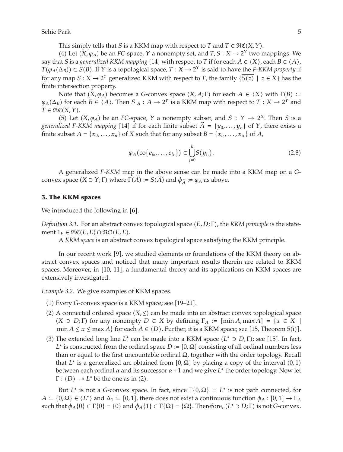This simply tells that *S* is a KKM map with respect to *T* and  $T \in \mathfrak{RC}(X,Y)$ .<br>(4) Let  $(X, y_1)$  be an *EC*-crase,  $Y$  a nonompty set and  $T S \cdot Y \rightarrow 2^Y$  two r

(4) Let  $(X, \varphi_A)$  be an *FC*-space, *Y* a nonempty set, and  $T, S: X \to 2^Y$  two mappings. We<br>at *S* is a *generalized KKM manning* [14] with respect to *T* if for each  $A \in (X)$  and  $B \in (A)$ say that *S* is a *generalized KKM mapping* [[14](#page-9-12)] with respect to *T* if for each  $A \in \langle X \rangle$ , each  $B \in \langle A \rangle$ ,  $T(\varphi_A(\Delta_B)) \subset S(B)$ . If *Y* is a topological space,  $T : X \to 2^Y$  is said to have the *F-KKM property* if for any map  $S: X \to 2^Y$  generalized KKM with respect to *T*, the family  $\{S(z) \mid z \in X\}$  has the finite intersection property. finite intersection property.

Note that  $(X, \varphi_A)$  becomes a *G*-convex space  $(X, A; \Gamma)$  for each  $A \in \langle X \rangle$  with  $\Gamma(B) :=$ <br>*A* for each  $B \subset \langle A \rangle$ . Then  $S|_A \in A \longrightarrow 2^Y$  is a KKM map with respect to  $T : X \longrightarrow 2^Y$  and  $\varphi_A(\Delta_B)$  for each  $B \in \langle A \rangle$ . Then  $S|_A : A \to 2^Y$  is a KKM map with respect to  $T : X \to 2^Y$  and  $T \in \mathfrak{M}(X, Y)$  $T \in \mathfrak{RC}(X, Y)$ .<br>(5) Lot

(5) Let  $(X, \varphi_A)$  be an *FC*-space, *Y* a nonempty subset, and *S* :  $Y \to 2^X$ . Then *S* is a lized *E-KKM* manning [14] if for each finite subset  $\tilde{A} = \{y_1, \ldots, y_n\}$  of *Y* there exists a *generalized F-KKM mapping* [[14](#page-9-12)] if for each finite subset  $A = \{y_0, \ldots, y_n\}$  of  $Y$ , there exists a finite subset  $A = \{x_0, \ldots, x_n\}$  of  $A$ finite subset  $A = \{x_0, \ldots, x_n\}$  of  $X$  such that for any subset  $B = \{x_{i_0}, \ldots, x_{i_k}\}$  of  $A$ ,

$$
\varphi_A(\text{co}\{e_{i_0},\ldots,e_{i_k}\}) \subset \bigcup_{j=0}^k S(y_{i_j}).
$$
\n(2.8)

A generalized *F-KKM* map in the above sense can be made into a KKM map on a *G*convex space  $(X \supset Y; \Gamma)$  where  $\Gamma(A) := S(A)$  and  $\phi_{\tilde{A}} := \phi_A$  as above.

#### **3. The KKM spaces**

We introduced the following in  $[6]$  $[6]$  $[6]$ .

*Definition 3.1.* For an abstract convex topological space  $(E, D; \Gamma)$ , the *KKM principle* is the state-<br>mont 1<sub>2</sub>  $\in$  300(*E, E*)  $\cap$  330(*E, E*) ment  $1_E \in \Re \mathfrak{C}(E, E) \cap \Re \mathfrak{O}(E, E)$ .

A *KKM space* is an abstract convex topological space satisfying the KKM principle.

In our recent work [[9](#page-9-14)], we studied elements or foundations of the KKM theory on abstract convex spaces and noticed that many important results therein are related to KKM spaces. Moreover, in [[10](#page-9-13), [11](#page-9-9)], a fundamental theory and its applications on KKM spaces are extensively investigated.

*Example 3.2.* We give examples of KKM spaces.

- (1) Every *G*-convex space is a KKM space; see [[19](#page-9-26)[–21](#page-9-19)].
- (2) A connected ordered space  $(X, \leq)$  can be made into an abstract convex topological space<br> $(X, \supset P, \Gamma)$  for any nonomity  $P \subset X$  by defining  $\Gamma_{\text{max}} = \lceil \min A \rceil \max A \rceil = \lceil x \rceil \leq X \rceil$  $(X ⊃ D; Γ)$  for any nonempty  $D ⊂ X$  by defining  $Γ<sub>A</sub> := [min A, max A] = {x ∈ X | min A ≤ x ≤ max A}$  for each  $A ∈ (D)$ . Eurther it is a KKM space; soo [15] Theorem 5(i)] min *A*  $\leq$  *x*  $\leq$  max *A*} for each *A*  $\in$  *(D)*. Further, it is a KKM space; see [[15](#page-9-15), Theorem 5(i)].
- (3) The extended long line *L*<sup>∗</sup> can be made into a KKM space  $(L^* \supset D; \Gamma)$ ; see [[15](#page-9-15)]. In fact,  $L^*$  is constructed from the ordinal space  $D = [0, 0]$  consisting of all ordinal numbers loss  $L^*$  is constructed from the ordinal space  $D := [0, \Omega]$  consisting of all ordinal numbers less than or equal to the first uncountable ordinal  $Ω$ , together with the order topology. Recall that *L*<sup>∗</sup> is a generalized arc obtained from  $[0, \Omega]$  by placing a copy of the interval  $(0,1)$ <br>between each ordinal  $\alpha$  and its successor  $\alpha + 1$  and we give *L*<sup>\*</sup> the order topology. Now let between each ordinal  $\alpha$  and its successor  $\alpha + 1$  and we give  $L^*$  the order topology. Now let  $\Gamma$  :  $\langle D \rangle$   $\sim$  *L*<sup>\*</sup> be the one as in (2).

But *L*<sup>\*</sup> is not a *G*-convex space. In fact, since  $\Gamma\{0, \Omega\} = L^*$  is not path connected, for  $A := \{0, \Omega\} \in \langle L^* \rangle$  and  $\Delta_1 := [0, 1]$ , there does not exist a continuous function  $\phi_A : [0, 1] \to \Gamma_A$ such that  $\phi_A\{0\} \subset \Gamma\{0\} = \{0\}$  and  $\phi_A\{1\} \subset \Gamma\{\Omega\} = \{\Omega\}$ . Therefore,  $(L^* \supset D; \Gamma)$  is not *G*-convex.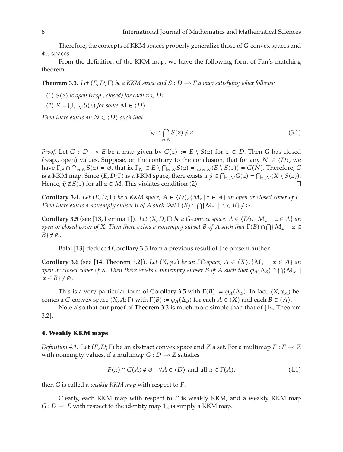Therefore, the concepts of KKM spaces properly generalize those of *G*-convex spaces and  $\phi$ <sub>*A*</sub>-spaces.

<span id="page-5-1"></span>From the definition of the KKM map, we have the following form of Fan's matching theorem.

**Theorem 3.3.** Let  $(E, D; \Gamma)$  be a KKM space and  $S: D \multimap E$  a map satisfying what follows:

- (1)  $S(z)$  *is open (resp., closed) for each*  $z \in D$ *;*
- $(X \leq U) \leq X = U_{z \in M} S(z)$  for some  $M \in \langle D \rangle$ .

*Then there exists an*  $N \in \langle D \rangle$  *such that* 

$$
\Gamma_N \cap \bigcap_{z \in N} S(z) \neq \emptyset. \tag{3.1}
$$

*Proof.* Let *G* : *D*  $\rightarrow$  *E* be a map given by *G*(*z*) := *E* \ *S*(*z*) for *z* ∈ *D*. Then *G* has closed (resp. open) values. Suppose, on the contrary to the conclusion that for any  $N \in (D)$ , we (resp., open) values. Suppose, on the contrary to the conclusion, that for any  $N \in \langle D \rangle$ , we have  $\Gamma_{k,0} \cap S(\sigma) = \emptyset$  that is  $\Gamma_{k,0} \subset F \setminus \bigcap_{k \in \mathbb{N}} S(\sigma) = |I| - \langle F \setminus S(\sigma) \rangle = C(N)$ . Therefore,  $\bigcap_{k \in \mathbb{N}} S(\sigma)$ have  $\Gamma_N \cap \bigcap_{z \in N} S(z) = \emptyset$ , that is,  $\Gamma_N \subset E \setminus \bigcap_{z \in N} S(z) = \bigcup_{z \in N} (E \setminus S(z)) = G(N)$ . Therefore, *G*<br>is a KKM map Since (*E*, D: *F*) is a KKM space, there exists a  $\hat{u} \in \bigcap_{z \in N} C(z) = \bigcap_{z \in N} (X \setminus S(z))$ is a KKM map. Since  $(E, D; \Gamma)$  is a KKM space, there exists a  $\hat{y} \in \bigcap_{z \in M} G(z) = \bigcap_{z \in M} (X \setminus S(z))$ .<br>Honce  $\hat{y} \notin S(z)$  for all  $z \in M$ . This violates condition (2) Hence,  $\hat{y} \notin S(z)$  for all  $z \in M$ . This violates condition (2).

<span id="page-5-2"></span>**Corollary 3.4.** *Let*  $(E, D; \Gamma)$  *be a KKM space,*  $A \in \langle D \rangle$ ,  $\{M_z | z \in A\}$  *an open or closed cover of*  $E$ .<br>*Then these exists a nonematy subset*  $B$  of  $A$  such that  $\Gamma(R) \cap \Omega(M_+) \subset E$ ,  $B \neq \emptyset$ *Then there exists a nonempty subset B of A such that*  $\Gamma(B) \cap \bigcap \{M_z \mid z \in B\} \neq \emptyset$ .

<span id="page-5-0"></span>**Corollary 3.5** (see [[13](#page-9-11), Lemma 1]). Let  $(X, D; \Gamma)$  be a *G*-convex space,  $A \in \langle D \rangle$ ,  $\{M_z \mid z \in A\}$  and  $P(z)$  and  $\{X, Z\}$  are  $\{X, Z\}$  and  $\{X, Z\}$  and  $\{X, Z\}$  and  $\{X, Z\}$  and  $\{X, Z\}$  and  $\{X, Z\}$  and  $\{X, Z\}$ *open or closed cover of X. Then there exists a nonempty subset B of A such that* Γ(B) ∩  $\bigcap$ { $M_z$  | *z* ∈<br>*B* 1 *+* ∞  $B$ }  $\neq \emptyset$ *.* 

Balaj [[13](#page-9-11)] deduced [Corollary 3.5](#page-5-0) from a previous result of the present author.

**Corollary 3.6** (see [[14](#page-9-12), Theorem 3.2]). Let  $(X, \varphi_A)$  be an FC-space,  $A \in \langle X \rangle$ ,  $\{M_x \mid x \in A\}$  and  $\varphi_A$  and  $\varphi_B$  are an  $\varphi_B$  and  $\varphi_B$  and  $\varphi_B$  and  $\varphi_B$  and  $\varphi_B$  and  $\varphi_B$  and  $\varphi_B$  and  $\varphi_B$  and  $\varphi_B$ *open or closed cover of X. Then there exists a nonempty subset B of A such that*  $\varphi_A(\Delta_B) \cap \bigcap \{M_x \mid x \in B\}$  $x \in B$   $\neq \emptyset$ *.* 

This is a very particular form of [Corollary 3.5](#page-5-0) with  $\Gamma(B) := \varphi_A(\Delta_B)$ . In fact,  $(X, \varphi_A)$  be-<br>*A*  $\Gamma$  convoy space  $(X, A): \Gamma$  with  $\Gamma(B) := \varphi_A(\Delta_B)$  for each  $A \subset (X)$  and each  $B \subset (A)$ comes a *G*-convex space  $(X, A; \Gamma)$  with  $\Gamma(B) := \varphi_A(\Delta_B)$  for each  $A \in \langle X \rangle$  and each  $B \in \langle A \rangle$ .<br>Note also that our proof of Theorem 3.3 is much more simple than that of [14]. Theor

Note also that our proof of [Theorem 3.3](#page-5-1) is much more simple than that of [[14,](#page-9-12) Theorem  $3.2$ ].

#### **4. Weakly KKM maps**

*Definition 4.1.* Let  $(E, D; \Gamma)$  be an abstract convex space and *Z* a set. For a multimap  $F : E \multimap Z$ <br>with popematy values if a multimap  $C : D \longrightarrow Z$  satisfies with nonempty values, if a multimap  $G: D \to Z$  satisfies

$$
F(x) \cap G(A) \neq \emptyset \quad \forall A \in \langle D \rangle \text{ and all } x \in \Gamma(A), \tag{4.1}
$$

then *G* is called a *weakly KKM map* with respect to *F*.

Clearly, each KKM map with respect to *F* is weakly KKM, and a weakly KKM map  $G: D \multimap E$  with respect to the identity map  $1_E$  is simply a KKM map.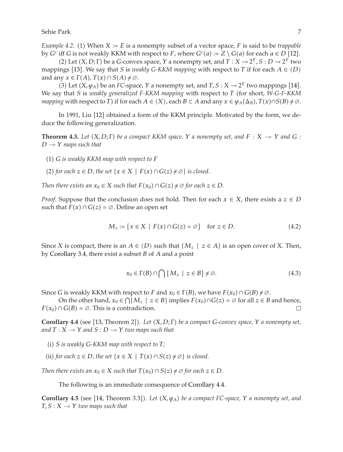*Example 4.2.* (1) When *X* := *E* is a nonempty subset of a vector space, *F* is said to be *trappable*<br>by *C<sup>c</sup>* iff *C* is not workly *KKM* with respect to *E* where  $C^{c}(a) := Z \setminus C(a)$  for each  $a \in D$  [12] by *G<sup>c</sup>* iff *G* is not weakly KKM with respect to *F*, where  $G^c(a) := Z \setminus G(a)$  for each  $a \in D$  [[12](#page-9-10)].<br>(2) Let  $(X, D: \Gamma)$  be a *G-convex* space  $X$  a popematy set and  $T: X \to 2^X S : D \to 2^Y$  two

(2) Let  $(X, D; \Gamma)$  be a *G*-convex space, *Y* a nonempty set, and  $T : X \to 2^Y, S : D \to 2^Y$  two ince [13] We say that *S* is *x* veck *L C KVM* manning with respect to *T* if for each  $A \subset (D)$ mappings [[13](#page-9-11)]. We say that *S* is *weakly G-KKM mapping* with respect to *T* if for each  $A \in \langle D \rangle$ and any  $x \in \Gamma(A)$ ,  $T(x) \cap S(A) \neq \emptyset$ .<br>(3) Let  $(X, \mu_A)$  be an *FC*-space

(3) Let  $(X, \varphi_A)$  be an *FC*-space,  $Y$  a nonempty set, and  $T, S: X \to 2^Y$  two mappings [[14](#page-9-12)]. We say that *S* is *weakly generalized F-KKM mapping* with respect to *T* (for short, *W-G-F-KKM*<br>manning with respect to *T*) if for each  $A \in (X)$  and  $B \subseteq A$  and any  $x \in (a, (A_{\sigma}) \setminus T(x) \cap S(B) \neq \emptyset$ *mapping* with respect to *T*) if for each  $A \in \langle X \rangle$ , each  $B \subset A$  and any  $x \in \varphi_A(\Delta_B)$ ,  $T(x) \cap S(B) \neq \emptyset$ .

<span id="page-6-1"></span>In 1991, Liu [[12](#page-9-10)] obtained a form of the KKM principle. Motivated by the form, we deduce the following generalization.

**Theorem 4.3.** Let  $(X, D; \Gamma)$  be a compact KKM space,  $Y$  a nonempty set, and  $F: X \to Y$  and  $G: D \to Y$  mans such that *D* - *Y maps such that*

- -<sup>1</sup> *G is weakly KKM map with respect to F*
- (2) *for each*  $z \in D$ *, the set* {*x* ∈ *X* | *F*(*x*) ∩ *G*(*z*) ≠  $\emptyset$ } *is closed.*

*Then there exists an*  $x_0 \in X$  *such that*  $F(x_0) \cap G(z) \neq \emptyset$  for each  $z \in D$ .

*Proof.* Suppose that the conclusion does not hold. Then for each  $x \in X$ , there exists a  $z \in D$ such that  $F(x) \cap G(z) = \emptyset$ . Define an open set

$$
M_z := \{ x \in X \mid F(x) \cap G(z) = \varnothing \} \quad \text{for } z \in D. \tag{4.2}
$$

Since *X* is compact, there is an  $A \in \langle D \rangle$  such that  $\{M_z \mid z \in A\}$  is an open cover of *X*. Then, by [Corollary 3.4,](#page-5-2) there exist a subset *B* of *A* and a point

$$
x_0 \in \Gamma(B) \cap \bigcap \{ M_z \mid z \in B \} \neq \varnothing. \tag{4.3}
$$

Since *G* is weakly KKM with respect to *F* and  $x_0 \in \Gamma(B)$ , we have  $F(x_0) \cap G(B) \neq \emptyset$ .<br>On the other hand  $x_0 \in \Omega(M_+) \subset \{B\}$  implies  $F(x_0) \cap G(z) = \emptyset$  for all  $z \in B$ .

On the other hand,  $x_0 \in \bigcap \{M_z \mid z \in B\}$  implies  $F(x_0) \cap G(z) = \emptyset$  for all  $z \in B$  and hence,  $F(x_0) \cap G(B) = \emptyset$ . This is a contradiction.

<span id="page-6-0"></span>**Corollary 4.4** (see [[13,](#page-9-11) Theorem 2]). Let  $(X, D; \Gamma)$  be a compact *G*-convex space,  $Y$  a nonempty set,<br>and  $T: X \longrightarrow Y$  and  $S: D \longrightarrow Y$  type mans such that and  $T: X \to Y$  and  $S: D \to Y$  two maps such that

- -<sup>i</sup> *S is weakly G-KKM map with respect to T;*
- (ii) *for each z* ∈ *D, the set* {*x* ∈ *X* | *T*(*x*) ∩ *S*(*z*) ≠ ∅} *is closed.*

*Then there exists an*  $x_0 \in X$  *such that*  $T(x_0) \cap S(z) \neq \emptyset$  for each  $z \in D$ .

The following is an immediate consequence of [Corollary 4.4.](#page-6-0)

**Corollary 4.5** (see [[14](#page-9-12), Theorem 3.3]). Let  $(X, \varphi_A)$  be a compact FC-space,  $Y$  a nonempty set, and  $T \leq Y \leq Y$  five mans such that *T, S* : *X* - *Y two maps such that*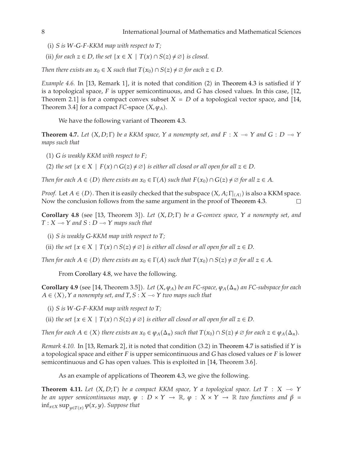- $(i)$  *S is W*-*G*-*F*-*KKM* map with respect to *T*;
- (ii) *for each z* ∈ *D, the set* {*x* ∈ *X* | *T*(*x*) ∩ *S*(*z*) ≠  $\emptyset$ } *is closed.*

*Then there exists an*  $x_0 \in X$  *such that*  $T(x_0) \cap S(z) \neq \emptyset$  for each  $z \in D$ .

*Example 4.6.* In [[13](#page-9-11), Remark 1], it is noted that condition (2) in [Theorem 4.3](#page-6-1) is satisfied if *Y* is a topological space. *E* is upper somicontinuous, and *C* has closed values. In this case, [12] is a topological space, *F* is upper semicontinuous, and *G* has closed values. In this case, [12](#page-9-10), Theorem 2.1] is for a compact convex subset  $X = D$  of a topological vector space, and [[14](#page-9-12), Theorem 3.4] for a compact  $FC$ -space  $(X, \varphi_A)$ .

We have the following variant of [Theorem 4.3.](#page-6-1)

<span id="page-7-1"></span>**Theorem 4.7.** Let  $(X, D; \Gamma)$  be a KKM space,  $Y$  a nonempty set, and  $F: X \to Y$  and  $G: D \to Y$ <br>mans such that *maps such that*

- $(1)$  *G is weakly KKM with respect to F*;
- (2) the set  $\{x \in X \mid F(x) \cap G(z) \neq \emptyset\}$  is either all closed or all open for all  $z \in D$ .

*Then for each*  $A \in \langle D \rangle$  *there exists an*  $x_0 \in \Gamma(A)$  *such that*  $F(x_0) \cap G(z) \neq \emptyset$  *for all*  $z \in A$ *.* 

*Proof.* Let  $A \in \langle D \rangle$ . Then it is easily checked that the subspace  $(X, A; \Gamma |_{\langle A \rangle})$  is also a KKM space. Now the conclusion follows from the same argument in the proof of [Theorem 4.3.](#page-6-1)

<span id="page-7-0"></span>**Corollary 4.8** (see [[13,](#page-9-11) Theorem 3]). Let  $(X, D; \Gamma)$  be a *G*-convex space,  $Y$  a nonempty set, and  $T: X \longrightarrow Y$  and  $S: D \longrightarrow Y$  mans such that  $T: X \rightarrow Y$  and  $S: D \rightarrow Y$  maps such that

- -<sup>i</sup> *S is weakly G-KKM map with respect to T;*
- (ii) the set  $\{x \in X \mid T(x) \cap S(z) \neq \emptyset\}$  is either all closed or all open for all  $z \in D$ .

*Then for each*  $A \in \langle D \rangle$  *there exists an*  $x_0 \in \Gamma(A)$  *such that*  $T(x_0) \cap S(z) \neq \emptyset$  *for all*  $z \in A$ *.* 

From [Corollary 4.8,](#page-7-0) we have the following.

**Corollary 4.9** (see [[14,](#page-9-12) Theorem 3.5]). Let  $(X, \varphi_A)$  be an FC-space,  $\varphi_A(\Delta_n)$  an FC-subspace for each  $A \in (X \setminus Y, X)$  a nonempty set and  $T \setminus S \setminus Y$  a  $\Delta_n$   $\Delta_n$   $\Delta_n$   $\Delta_n$   $\Delta_n$   $\Delta_n$   $\Delta_n$  $A \in \langle X \rangle$  ,  $Y$  *a nonempty set, and*  $T$ ,  $S : X \to Y$  *two maps such that* 

- $(i)$  *S is W*-*G*-*F*-*KKM* map with respect to *T*;
- (ii) the set  $\{x \in X \mid T(x) \cap S(z) \neq \emptyset\}$  is either all closed or all open for all  $z \in D$ .

*Then for each*  $A \in \langle X \rangle$  *there exists an*  $x_0 \in \varphi_A(\Delta_n)$  *such that*  $T(x_0) \cap S(z) \neq \varnothing$  *for each*  $z \in \varphi_A(\Delta_n)$ *.* 

*Remark 4.10.* In [[13,](#page-9-11) Remark 2], it is noted that condition (3.2) in [Theorem 4.7](#page-7-1) is satisfied if *Y* is a topological space and either *F* is upper semicontinuous and *C* has closed values or *F* is lower a topological space and either *F* is upper semicontinuous and *G* has closed values or *F* is lower semicontinuous and *G* has open values. This is exploited in [[14,](#page-9-12) Theorem 3.6].

As an example of applications of [Theorem 4.3,](#page-6-1) we give the following.

<span id="page-7-2"></span>**Theorem 4.11.** *Let*  $(X, D; \Gamma)$  *be a compact KKM space,*  $Y$  *a topological space. Let*  $T : X \rightarrow$ *be an upper semicontinuous map,*  $\psi : D \times Y \to \mathbb{R}$ ,  $\varphi : X \times Y \to \mathbb{R}$  *two functions and*  $\beta =$ <br>inf. *y* suppose  $\psi(x, y)$ . Suppose that  $\inf_{x \in X} \sup_{y \in T(x)} \varphi(x, y)$ . *Suppose that*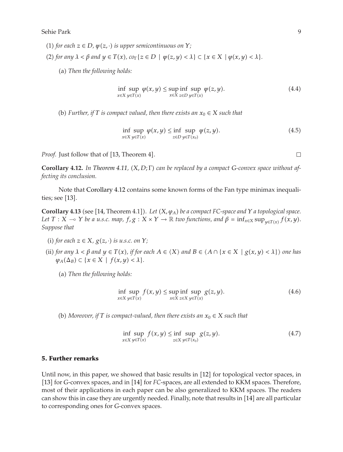- $(1)$  *for each*  $z \in D$ *,*  $\psi(z, \cdot)$  *is upper semicontinuous on*  $Y$ *;*
- $(2)$  *for any*  $\lambda < \beta$  *and*  $y \in T(x)$ *, co*<sub> $\Gamma$ </sub> { $z \in D \mid \psi(z, y) < \lambda$ }  $\subset \{x \in X \mid \varphi(x, y) < \lambda\}$ .
	- -a *Then the following holds:*

$$
\inf_{x \in X} \sup_{y \in T(x)} \varphi(x, y) \le \sup_{x \in X} \inf_{z \in D} \sup_{y \in T(x)} \varphi(z, y). \tag{4.4}
$$

(b) Further, if T is compact valued, then there exists an  $x_0 \in X$  such that

$$
\inf_{x \in X} \sup_{y \in T(x)} \varphi(x, y) \le \inf_{z \in D} \sup_{y \in T(x_0)} \varphi(z, y). \tag{4.5}
$$

*Proof.* Just follow that of [[13,](#page-9-11) Theorem 4].

<span id="page-8-0"></span>**Corollary 4.12.** In [Theorem 4.11,](#page-7-2) (*X*, *D*; Γ) can be replaced by a compact *G*-convex space without af-<br>fective its conclusion *fecting its conclusion.*

Note that [Corollary 4.12](#page-8-0) contains some known forms of the Fan type minimax inequalities; see  $[13]$  $[13]$  $[13]$ .

**Corollary 4.13** (see [[14](#page-9-12), Theorem 4.1]). Let  $(X, \varphi_A)$  be a compact FC-space and  $Y$  a topological space. *Let*  $T : X \to Y$  *be a u.s.c. map,*  $f, g : X \times Y \to \mathbb{R}$  *two functions, and*  $\beta = \inf_{x \in X} \sup_{y \in T(x)} f(x, y)$ *. Suppose that*

- (i) for each  $z \in X$ ,  $g(z, \cdot)$  is u.s.c. on  $Y$ ;
- (ii) for any  $\lambda < \beta$  and  $y \in T(x)$ , if for each  $A \in \langle X \rangle$  and  $B \in \langle A \cap \{x \in X \mid g(x, y) < \lambda\} \rangle$  one has  $\varphi_A(\Delta_B) \subset \{x \in X \mid f(x,y) < \lambda\}.$ 
	- (a) Then the following holds:

$$
\inf_{x \in X} \sup_{y \in T(x)} f(x, y) \le \sup_{x \in X} \inf_{z \in X} \sup_{y \in T(x)} g(z, y). \tag{4.6}
$$

(b) *Moreover, if*  $T$  *is compact-valued, then there exists an*  $x_0 \in X$  *such that* 

$$
\inf_{x \in X} \sup_{y \in T(x)} f(x, y) \le \inf_{z \in X} \sup_{y \in T(x_0)} g(z, y). \tag{4.7}
$$

#### **5. Further remarks**

Until now, in this paper, we showed that basic results in [[12](#page-9-10)] for topological vector spaces, in [[13](#page-9-11)] for *G*-convex spaces, and in [[14](#page-9-12)] for *FC*-spaces, are all extended to KKM spaces. Therefore, most of their applications in each paper can be also generalized to KKM spaces. The readers can show this in case they are urgently needed. Finally, note that results in [[14](#page-9-12)] are all particular to corresponding ones for *G*-convex spaces.

 $\Box$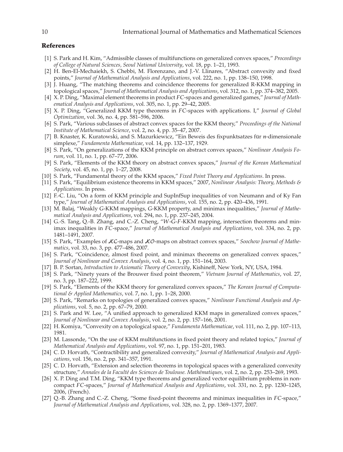#### <span id="page-9-0"></span>**References**

- <span id="page-9-1"></span>1 S. Park and H. Kim, "Admissible classes of multifunctions on generalized convex spaces," *Proceedings of College of Natural Sciences, Seoul National University*, vol. 18, pp. 1–21, 1993.
- <span id="page-9-2"></span>2 H. Ben-El-Mechaiekh, S. Chebbi, M. Florenzano, and J.-V. Llinares, "Abstract convexity and fixed points," *Journal of Mathematical Analysis and Applications*, vol. 222, no. 1, pp. 138–150, 1998.
- <span id="page-9-3"></span>[3] J. Huang, "The matching theorems and coincidence theorems for generalized R-KKM mapping in topological spaces," *Journal of Mathematical Analysis and Applications*, vol. 312, no. 1, pp. 374–382, 2005.
- <span id="page-9-4"></span>4 X. P. Ding, "Maximal element theorems in product *FC*-spaces and generalized games," *Journal of Mathematical Analysis and Applications*, vol. 305, no. 1, pp. 29–42, 2005.
- <span id="page-9-5"></span>5 X. P. Ding, "Generalized KKM type theorems in *FC*-spaces with applications. I," *Journal of Global Optimization*, vol. 36, no. 4, pp. 581–596, 2006.
- <span id="page-9-6"></span>6 S. Park, "Various subclasses of abstract convex spaces for the KKM theory," *Proceedings of the National Institute of Mathematical Science*, vol. 2, no. 4, pp. 35–47, 2007.
- <span id="page-9-7"></span>7 B. Knaster, K. Kuratowski, and S. Mazurkiewicz, "Ein Beweis des fixpunktsatzes fur¨ *<sup>n</sup>*-dimensionale simplexe," *Fundamenta Mathematicae*, vol. 14, pp. 132–137, 1929.
- <span id="page-9-8"></span>8 S. Park, "On generalizations of the KKM principle on abstract convex spaces," *Nonlinear Analysis Forum*, vol. 11, no. 1, pp. 67–77, 2006.
- <span id="page-9-14"></span>9 S. Park, "Elements of the KKM theory on abstract convex spaces," *Journal of the Korean Mathematical Society*, vol. 45, no. 1, pp. 1–27, 2008.
- <span id="page-9-13"></span>10 S. Park, "Fundamental theory of the KKM spaces," *Fixed Point Theory and Applications*. In press.
- <span id="page-9-9"></span>11 S. Park, "Equilibrium existence theorems in KKM spaces," 2007, *Nonlinear Analysis: Theory, Methods & Applications*. In press.
- <span id="page-9-10"></span>12 F.-C. Liu, "On a form of KKM principle and SupInfSup inequalities of von Neumann and of Ky Fan type," *Journal of Mathematical Analysis and Applications*, vol. 155, no. 2, pp. 420–436, 1991.
- <span id="page-9-11"></span>13 M. Balaj, "Weakly *G*-KKM mappings, *G*-KKM property, and minimax inequalities," *Journal of Mathematical Analysis and Applications*, vol. 294, no. 1, pp. 237–245, 2004.
- <span id="page-9-12"></span>14 G.-S. Tang, Q.-B. Zhang, and C.-Z. Cheng, "*W*-*G*-*F*-KKM mapping, intersection theorems and minimax inequalities in *FC*-space," *Journal of Mathematical Analysis and Applications*, vol. 334, no. 2, pp. 1481–1491, 2007.
- <span id="page-9-15"></span>[15] S. Park, "Examples of *JC*-maps and *JC*-maps on abstract convex spaces," Soochow Journal of Mathe*matics*, vol. 33, no. 3, pp. 477–486, 2007.
- <span id="page-9-16"></span>[16] S. Park, "Coincidence, almost fixed point, and minimax theorems on generalized convex spaces," *Journal of Nonlinear and Convex Analysis*, vol. 4, no. 1, pp. 151–164, 2003.
- <span id="page-9-17"></span>17 B. P. Sortan, *Introduction to Axiomatic Theory of Convexity*, Kishineff, New York, NY, USA, 1984.
- <span id="page-9-18"></span>18 S. Park, "Ninety years of the Brouwer fixed point theorem," *Vietnam Journal of Mathematics*, vol. 27, no. 3, pp. 187–222, 1999.
- <span id="page-9-26"></span>19 S. Park, "Elements of the KKM theory for generalized convex spaces," *The Korean Journal of Computational & Applied Mathematics*, vol. 7, no. 1, pp. 1–28, 2000.
- 20 S. Park, "Remarks on topologies of generalized convex spaces," *Nonlinear Functional Analysis and Applications*, vol. 5, no. 2, pp. 67–79, 2000.
- <span id="page-9-19"></span>[21] S. Park and W. Lee, "A unified approach to generalized KKM maps in generalized convex spaces," *Journal of Nonlinear and Convex Analysis*, vol. 2, no. 2, pp. 157–166, 2001.
- <span id="page-9-20"></span>22 H. Komiya, "Convexity on a topological space," *Fundamenta Mathematicae*, vol. 111, no. 2, pp. 107–113, 1981.
- <span id="page-9-21"></span>23 M. Lassonde, "On the use of KKM multifunctions in fixed point theory and related topics," *Journal of Mathematical Analysis and Applications*, vol. 97, no. 1, pp. 151–201, 1983.
- <span id="page-9-22"></span>24 C. D. Horvath, "Contractibility and generalized convexity," *Journal of Mathematical Analysis and Applications*, vol. 156, no. 2, pp. 341–357, 1991.
- <span id="page-9-23"></span>[25] C. D. Horvath, "Extension and selection theorems in topological spaces with a generalized convexity structure," *Annales de la Faculte des Sciences de Toulouse. Math ´ ematiques ´* , vol. 2, no. 2, pp. 253–269, 1993.
- <span id="page-9-24"></span>[26] X. P. Ding and T.M. Ding, "KKM type theorems and generalized vector equilibrium problems in noncompact *FC*-spaces," *Journal of Mathematical Analysis and Applications*, vol. 331, no. 2, pp. 1230–1245, 2006, (French).
- <span id="page-9-25"></span>27 Q.-B. Zhang and C.-Z. Cheng, "Some fixed-point theorems and minimax inequalities in *FC*-space," *Journal of Mathematical Analysis and Applications*, vol. 328, no. 2, pp. 1369–1377, 2007.